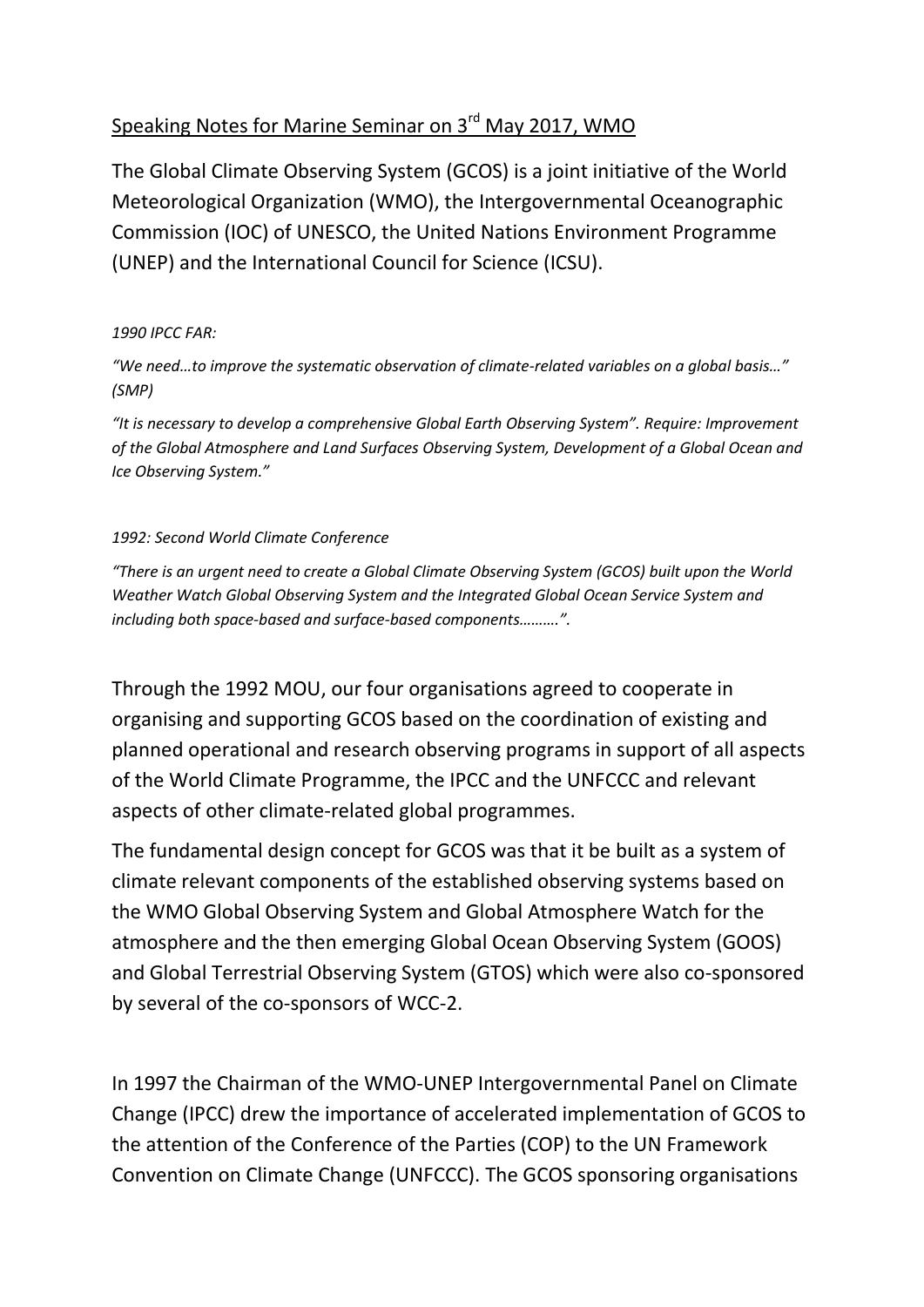## Speaking Notes for Marine Seminar on 3<sup>rd</sup> May 2017, WMO

The Global Climate Observing System (GCOS) is a joint initiative of the World Meteorological Organization (WMO), the Intergovernmental Oceanographic Commission (IOC) of UNESCO, the United Nations Environment Programme (UNEP) and the International Council for Science (ICSU).

#### *1990 IPCC FAR:*

*"We need…to improve the systematic observation of climate-related variables on a global basis…" (SMP)*

*"It is necessary to develop a comprehensive Global Earth Observing System". Require: Improvement of the Global Atmosphere and Land Surfaces Observing System, Development of a Global Ocean and Ice Observing System."*

#### *1992: Second World Climate Conference*

*"There is an urgent need to create a Global Climate Observing System (GCOS) built upon the World Weather Watch Global Observing System and the Integrated Global Ocean Service System and including both space-based and surface-based components……….".*

Through the 1992 MOU, our four organisations agreed to cooperate in organising and supporting GCOS based on the coordination of existing and planned operational and research observing programs in support of all aspects of the World Climate Programme, the IPCC and the UNFCCC and relevant aspects of other climate-related global programmes.

The fundamental design concept for GCOS was that it be built as a system of climate relevant components of the established observing systems based on the WMO Global Observing System and Global Atmosphere Watch for the atmosphere and the then emerging [Global Ocean Observing System](http://www.ioc-goos.org/) (GOOS) and Global Terrestrial Observing System (GTOS) which were also co-sponsored by several of the co-sponsors of WCC-2.

In 1997 the Chairman of the WMO-UNEP Intergovernmental Panel on Climate Change (IPCC) drew the importance of accelerated implementation of GCOS to the attention of the Conference of the Parties (COP) to the UN Framework Convention on Climate Change (UNFCCC). The GCOS sponsoring organisations